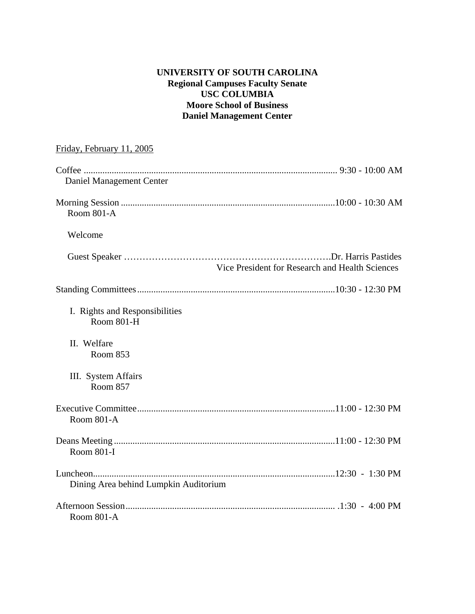# **UNIVERSITY OF SOUTH CAROLINA Regional Campuses Faculty Senate USC COLUMBIA Moore School of Business Daniel Management Center**

# Friday, February 11, 2005 Coffee ............................................................................................................. 9:30 - 10:00 AM Daniel Management Center Morning Session ............................................................................................10:00 - 10:30 AM Room 801-A Welcome Guest Speaker ………………………………………………………….Dr. Harris Pastides Vice President for Research and Health Sciences Standing Committees .....................................................................................10:30 - 12:30 PM I. Rights and Responsibilities Room 801-H II. Welfare Room 853 III. System Affairs Room 857 Executive Committee .....................................................................................11:00 - 12:30 PM Room 801-A Deans Meeting ...............................................................................................11:00 - 12:30 PM Room 801-I Luncheon........................................................................................................12:30 - 1:30 PM Dining Area behind Lumpkin Auditorium Afternoon Session .......................................................................................... .1:30 - 4:00 PM Room 801-A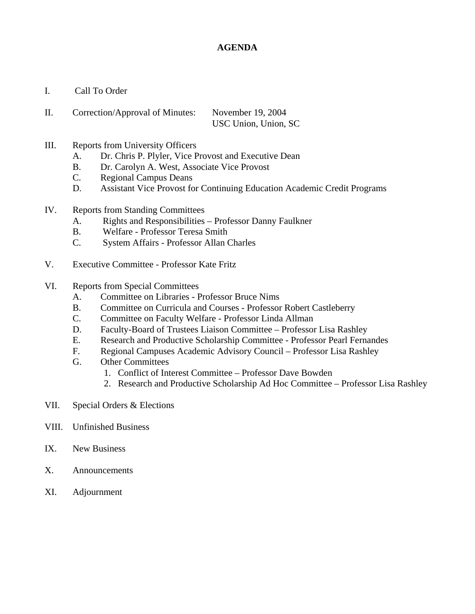# **AGENDA**

- I. Call To Order
- II. Correction/Approval of Minutes: November 19, 2004 USC Union, Union, SC
- III. Reports from University Officers
	- A. Dr. Chris P. Plyler, Vice Provost and Executive Dean
	- B. Dr. Carolyn A. West, Associate Vice Provost
	- C. Regional Campus Deans
	- D. Assistant Vice Provost for Continuing Education Academic Credit Programs
- IV. Reports from Standing Committees
	- A. Rights and Responsibilities Professor Danny Faulkner
	- B. Welfare Professor Teresa Smith
	- C. System Affairs Professor Allan Charles
- V. Executive Committee Professor Kate Fritz
- VI. Reports from Special Committees
	- A. Committee on Libraries Professor Bruce Nims
	- B. Committee on Curricula and Courses Professor Robert Castleberry
	- C. Committee on Faculty Welfare Professor Linda Allman
	- D. Faculty-Board of Trustees Liaison Committee Professor Lisa Rashley
	- E. Research and Productive Scholarship Committee Professor Pearl Fernandes
	- F. Regional Campuses Academic Advisory Council Professor Lisa Rashley
	- G. Other Committees
		- 1. Conflict of Interest Committee Professor Dave Bowden
		- 2. Research and Productive Scholarship Ad Hoc Committee Professor Lisa Rashley
- VII. Special Orders & Elections
- VIII. Unfinished Business
- IX. New Business
- X. Announcements
- XI. Adjournment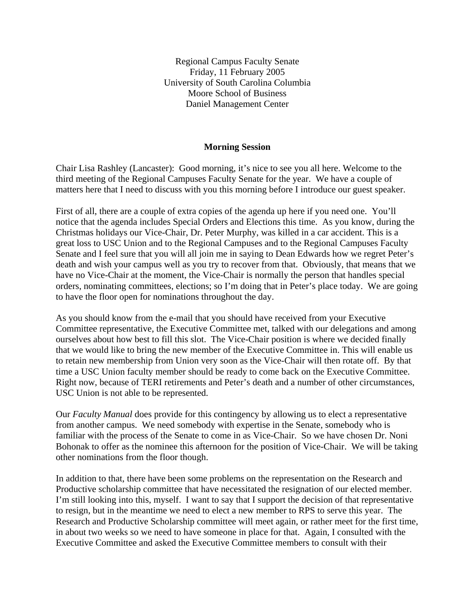Regional Campus Faculty Senate Friday, 11 February 2005 University of South Carolina Columbia Moore School of Business Daniel Management Center

# **Morning Session**

Chair Lisa Rashley (Lancaster): Good morning, it's nice to see you all here. Welcome to the third meeting of the Regional Campuses Faculty Senate for the year. We have a couple of matters here that I need to discuss with you this morning before I introduce our guest speaker.

First of all, there are a couple of extra copies of the agenda up here if you need one. You'll notice that the agenda includes Special Orders and Elections this time. As you know, during the Christmas holidays our Vice-Chair, Dr. Peter Murphy, was killed in a car accident. This is a great loss to USC Union and to the Regional Campuses and to the Regional Campuses Faculty Senate and I feel sure that you will all join me in saying to Dean Edwards how we regret Peter's death and wish your campus well as you try to recover from that. Obviously, that means that we have no Vice-Chair at the moment, the Vice-Chair is normally the person that handles special orders, nominating committees, elections; so I'm doing that in Peter's place today. We are going to have the floor open for nominations throughout the day.

As you should know from the e-mail that you should have received from your Executive Committee representative, the Executive Committee met, talked with our delegations and among ourselves about how best to fill this slot. The Vice-Chair position is where we decided finally that we would like to bring the new member of the Executive Committee in. This will enable us to retain new membership from Union very soon as the Vice-Chair will then rotate off. By that time a USC Union faculty member should be ready to come back on the Executive Committee. Right now, because of TERI retirements and Peter's death and a number of other circumstances, USC Union is not able to be represented.

Our *Faculty Manual* does provide for this contingency by allowing us to elect a representative from another campus. We need somebody with expertise in the Senate, somebody who is familiar with the process of the Senate to come in as Vice-Chair. So we have chosen Dr. Noni Bohonak to offer as the nominee this afternoon for the position of Vice-Chair. We will be taking other nominations from the floor though.

In addition to that, there have been some problems on the representation on the Research and Productive scholarship committee that have necessitated the resignation of our elected member. I'm still looking into this, myself. I want to say that I support the decision of that representative to resign, but in the meantime we need to elect a new member to RPS to serve this year. The Research and Productive Scholarship committee will meet again, or rather meet for the first time, in about two weeks so we need to have someone in place for that. Again, I consulted with the Executive Committee and asked the Executive Committee members to consult with their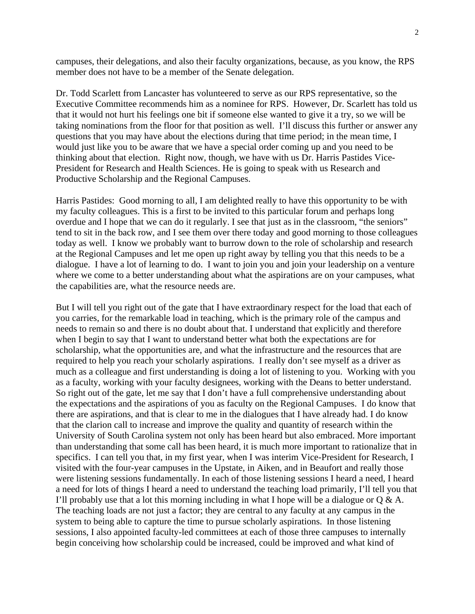campuses, their delegations, and also their faculty organizations, because, as you know, the RPS member does not have to be a member of the Senate delegation.

Dr. Todd Scarlett from Lancaster has volunteered to serve as our RPS representative, so the Executive Committee recommends him as a nominee for RPS. However, Dr. Scarlett has told us that it would not hurt his feelings one bit if someone else wanted to give it a try, so we will be taking nominations from the floor for that position as well. I'll discuss this further or answer any questions that you may have about the elections during that time period; in the mean time, I would just like you to be aware that we have a special order coming up and you need to be thinking about that election. Right now, though, we have with us Dr. Harris Pastides Vice-President for Research and Health Sciences. He is going to speak with us Research and Productive Scholarship and the Regional Campuses.

Harris Pastides: Good morning to all, I am delighted really to have this opportunity to be with my faculty colleagues. This is a first to be invited to this particular forum and perhaps long overdue and I hope that we can do it regularly. I see that just as in the classroom, "the seniors" tend to sit in the back row, and I see them over there today and good morning to those colleagues today as well. I know we probably want to burrow down to the role of scholarship and research at the Regional Campuses and let me open up right away by telling you that this needs to be a dialogue. I have a lot of learning to do. I want to join you and join your leadership on a venture where we come to a better understanding about what the aspirations are on your campuses, what the capabilities are, what the resource needs are.

But I will tell you right out of the gate that I have extraordinary respect for the load that each of you carries, for the remarkable load in teaching, which is the primary role of the campus and needs to remain so and there is no doubt about that. I understand that explicitly and therefore when I begin to say that I want to understand better what both the expectations are for scholarship, what the opportunities are, and what the infrastructure and the resources that are required to help you reach your scholarly aspirations. I really don't see myself as a driver as much as a colleague and first understanding is doing a lot of listening to you. Working with you as a faculty, working with your faculty designees, working with the Deans to better understand. So right out of the gate, let me say that I don't have a full comprehensive understanding about the expectations and the aspirations of you as faculty on the Regional Campuses. I do know that there are aspirations, and that is clear to me in the dialogues that I have already had. I do know that the clarion call to increase and improve the quality and quantity of research within the University of South Carolina system not only has been heard but also embraced. More important than understanding that some call has been heard, it is much more important to rationalize that in specifics. I can tell you that, in my first year, when I was interim Vice-President for Research, I visited with the four-year campuses in the Upstate, in Aiken, and in Beaufort and really those were listening sessions fundamentally. In each of those listening sessions I heard a need, I heard a need for lots of things I heard a need to understand the teaching load primarily, I'll tell you that I'll probably use that a lot this morning including in what I hope will be a dialogue or  $Q \& A$ . The teaching loads are not just a factor; they are central to any faculty at any campus in the system to being able to capture the time to pursue scholarly aspirations. In those listening sessions, I also appointed faculty-led committees at each of those three campuses to internally begin conceiving how scholarship could be increased, could be improved and what kind of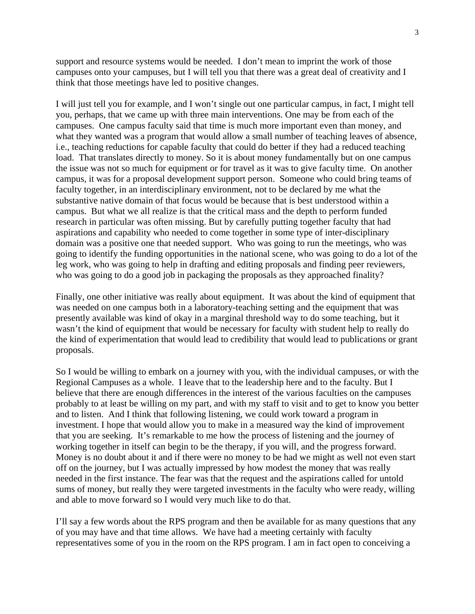support and resource systems would be needed. I don't mean to imprint the work of those campuses onto your campuses, but I will tell you that there was a great deal of creativity and I think that those meetings have led to positive changes.

I will just tell you for example, and I won't single out one particular campus, in fact, I might tell you, perhaps, that we came up with three main interventions. One may be from each of the campuses. One campus faculty said that time is much more important even than money, and what they wanted was a program that would allow a small number of teaching leaves of absence, i.e., teaching reductions for capable faculty that could do better if they had a reduced teaching load. That translates directly to money. So it is about money fundamentally but on one campus the issue was not so much for equipment or for travel as it was to give faculty time. On another campus, it was for a proposal development support person. Someone who could bring teams of faculty together, in an interdisciplinary environment, not to be declared by me what the substantive native domain of that focus would be because that is best understood within a campus. But what we all realize is that the critical mass and the depth to perform funded research in particular was often missing. But by carefully putting together faculty that had aspirations and capability who needed to come together in some type of inter-disciplinary domain was a positive one that needed support. Who was going to run the meetings, who was going to identify the funding opportunities in the national scene, who was going to do a lot of the leg work, who was going to help in drafting and editing proposals and finding peer reviewers, who was going to do a good job in packaging the proposals as they approached finality?

Finally, one other initiative was really about equipment. It was about the kind of equipment that was needed on one campus both in a laboratory-teaching setting and the equipment that was presently available was kind of okay in a marginal threshold way to do some teaching, but it wasn't the kind of equipment that would be necessary for faculty with student help to really do the kind of experimentation that would lead to credibility that would lead to publications or grant proposals.

So I would be willing to embark on a journey with you, with the individual campuses, or with the Regional Campuses as a whole. I leave that to the leadership here and to the faculty. But I believe that there are enough differences in the interest of the various faculties on the campuses probably to at least be willing on my part, and with my staff to visit and to get to know you better and to listen. And I think that following listening, we could work toward a program in investment. I hope that would allow you to make in a measured way the kind of improvement that you are seeking. It's remarkable to me how the process of listening and the journey of working together in itself can begin to be the therapy, if you will, and the progress forward. Money is no doubt about it and if there were no money to be had we might as well not even start off on the journey, but I was actually impressed by how modest the money that was really needed in the first instance. The fear was that the request and the aspirations called for untold sums of money, but really they were targeted investments in the faculty who were ready, willing and able to move forward so I would very much like to do that.

I'll say a few words about the RPS program and then be available for as many questions that any of you may have and that time allows. We have had a meeting certainly with faculty representatives some of you in the room on the RPS program. I am in fact open to conceiving a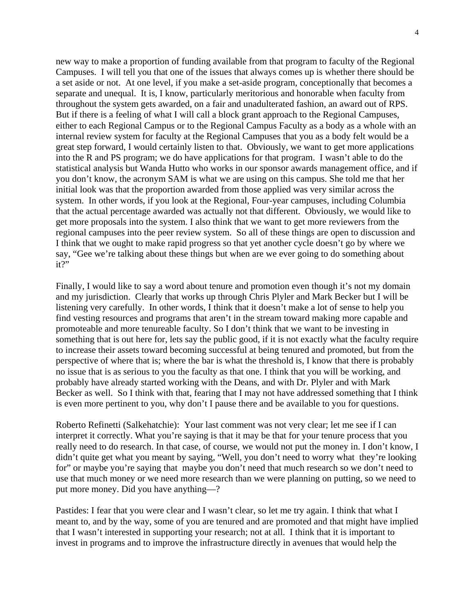new way to make a proportion of funding available from that program to faculty of the Regional Campuses. I will tell you that one of the issues that always comes up is whether there should be a set aside or not. At one level, if you make a set-aside program, conceptionally that becomes a separate and unequal. It is, I know, particularly meritorious and honorable when faculty from throughout the system gets awarded, on a fair and unadulterated fashion, an award out of RPS. But if there is a feeling of what I will call a block grant approach to the Regional Campuses, either to each Regional Campus or to the Regional Campus Faculty as a body as a whole with an internal review system for faculty at the Regional Campuses that you as a body felt would be a great step forward, I would certainly listen to that. Obviously, we want to get more applications into the R and PS program; we do have applications for that program. I wasn't able to do the statistical analysis but Wanda Hutto who works in our sponsor awards management office, and if you don't know, the acronym SAM is what we are using on this campus. She told me that her initial look was that the proportion awarded from those applied was very similar across the system. In other words, if you look at the Regional, Four-year campuses, including Columbia that the actual percentage awarded was actually not that different. Obviously, we would like to get more proposals into the system. I also think that we want to get more reviewers from the regional campuses into the peer review system. So all of these things are open to discussion and I think that we ought to make rapid progress so that yet another cycle doesn't go by where we say, "Gee we're talking about these things but when are we ever going to do something about it?"

Finally, I would like to say a word about tenure and promotion even though it's not my domain and my jurisdiction. Clearly that works up through Chris Plyler and Mark Becker but I will be listening very carefully. In other words, I think that it doesn't make a lot of sense to help you find vesting resources and programs that aren't in the stream toward making more capable and promoteable and more tenureable faculty. So I don't think that we want to be investing in something that is out here for, lets say the public good, if it is not exactly what the faculty require to increase their assets toward becoming successful at being tenured and promoted, but from the perspective of where that is; where the bar is what the threshold is, I know that there is probably no issue that is as serious to you the faculty as that one. I think that you will be working, and probably have already started working with the Deans, and with Dr. Plyler and with Mark Becker as well. So I think with that, fearing that I may not have addressed something that I think is even more pertinent to you, why don't I pause there and be available to you for questions.

Roberto Refinetti (Salkehatchie): Your last comment was not very clear; let me see if I can interpret it correctly. What you're saying is that it may be that for your tenure process that you really need to do research. In that case, of course, we would not put the money in. I don't know, I didn't quite get what you meant by saying, "Well, you don't need to worry what they're looking for" or maybe you're saying that maybe you don't need that much research so we don't need to use that much money or we need more research than we were planning on putting, so we need to put more money. Did you have anything—?

Pastides: I fear that you were clear and I wasn't clear, so let me try again. I think that what I meant to, and by the way, some of you are tenured and are promoted and that might have implied that I wasn't interested in supporting your research; not at all. I think that it is important to invest in programs and to improve the infrastructure directly in avenues that would help the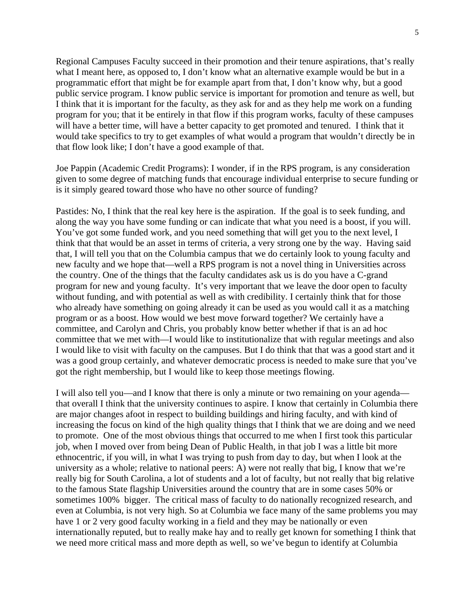Regional Campuses Faculty succeed in their promotion and their tenure aspirations, that's really what I meant here, as opposed to, I don't know what an alternative example would be but in a programmatic effort that might be for example apart from that, I don't know why, but a good public service program. I know public service is important for promotion and tenure as well, but I think that it is important for the faculty, as they ask for and as they help me work on a funding program for you; that it be entirely in that flow if this program works, faculty of these campuses will have a better time, will have a better capacity to get promoted and tenured. I think that it would take specifics to try to get examples of what would a program that wouldn't directly be in that flow look like; I don't have a good example of that.

Joe Pappin (Academic Credit Programs): I wonder, if in the RPS program, is any consideration given to some degree of matching funds that encourage individual enterprise to secure funding or is it simply geared toward those who have no other source of funding?

Pastides: No, I think that the real key here is the aspiration. If the goal is to seek funding, and along the way you have some funding or can indicate that what you need is a boost, if you will. You've got some funded work, and you need something that will get you to the next level, I think that that would be an asset in terms of criteria, a very strong one by the way. Having said that, I will tell you that on the Columbia campus that we do certainly look to young faculty and new faculty and we hope that—well a RPS program is not a novel thing in Universities across the country. One of the things that the faculty candidates ask us is do you have a C-grand program for new and young faculty. It's very important that we leave the door open to faculty without funding, and with potential as well as with credibility. I certainly think that for those who already have something on going already it can be used as you would call it as a matching program or as a boost. How would we best move forward together? We certainly have a committee, and Carolyn and Chris, you probably know better whether if that is an ad hoc committee that we met with—I would like to institutionalize that with regular meetings and also I would like to visit with faculty on the campuses. But I do think that that was a good start and it was a good group certainly, and whatever democratic process is needed to make sure that you've got the right membership, but I would like to keep those meetings flowing.

I will also tell you—and I know that there is only a minute or two remaining on your agenda that overall I think that the university continues to aspire. I know that certainly in Columbia there are major changes afoot in respect to building buildings and hiring faculty, and with kind of increasing the focus on kind of the high quality things that I think that we are doing and we need to promote. One of the most obvious things that occurred to me when I first took this particular job, when I moved over from being Dean of Public Health, in that job I was a little bit more ethnocentric, if you will, in what I was trying to push from day to day, but when I look at the university as a whole; relative to national peers: A) were not really that big, I know that we're really big for South Carolina, a lot of students and a lot of faculty, but not really that big relative to the famous State flagship Universities around the country that are in some cases 50% or sometimes 100% bigger. The critical mass of faculty to do nationally recognized research, and even at Columbia, is not very high. So at Columbia we face many of the same problems you may have 1 or 2 very good faculty working in a field and they may be nationally or even internationally reputed, but to really make hay and to really get known for something I think that we need more critical mass and more depth as well, so we've begun to identify at Columbia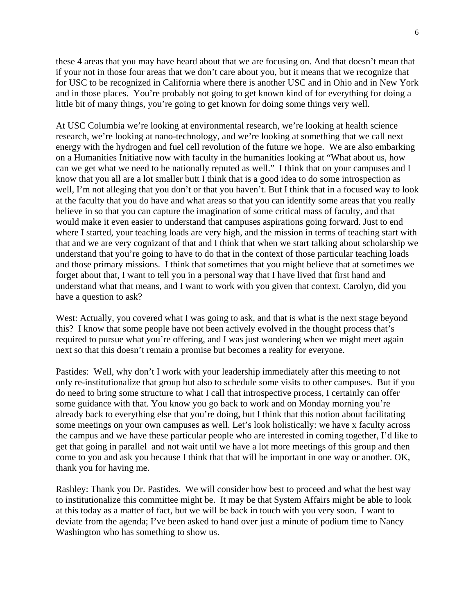these 4 areas that you may have heard about that we are focusing on. And that doesn't mean that if your not in those four areas that we don't care about you, but it means that we recognize that for USC to be recognized in California where there is another USC and in Ohio and in New York and in those places. You're probably not going to get known kind of for everything for doing a little bit of many things, you're going to get known for doing some things very well.

At USC Columbia we're looking at environmental research, we're looking at health science research, we're looking at nano-technology, and we're looking at something that we call next energy with the hydrogen and fuel cell revolution of the future we hope. We are also embarking on a Humanities Initiative now with faculty in the humanities looking at "What about us, how can we get what we need to be nationally reputed as well." I think that on your campuses and I know that you all are a lot smaller butt I think that is a good idea to do some introspection as well, I'm not alleging that you don't or that you haven't. But I think that in a focused way to look at the faculty that you do have and what areas so that you can identify some areas that you really believe in so that you can capture the imagination of some critical mass of faculty, and that would make it even easier to understand that campuses aspirations going forward. Just to end where I started, your teaching loads are very high, and the mission in terms of teaching start with that and we are very cognizant of that and I think that when we start talking about scholarship we understand that you're going to have to do that in the context of those particular teaching loads and those primary missions. I think that sometimes that you might believe that at sometimes we forget about that, I want to tell you in a personal way that I have lived that first hand and understand what that means, and I want to work with you given that context. Carolyn, did you have a question to ask?

West: Actually, you covered what I was going to ask, and that is what is the next stage beyond this? I know that some people have not been actively evolved in the thought process that's required to pursue what you're offering, and I was just wondering when we might meet again next so that this doesn't remain a promise but becomes a reality for everyone.

Pastides: Well, why don't I work with your leadership immediately after this meeting to not only re-institutionalize that group but also to schedule some visits to other campuses. But if you do need to bring some structure to what I call that introspective process, I certainly can offer some guidance with that. You know you go back to work and on Monday morning you're already back to everything else that you're doing, but I think that this notion about facilitating some meetings on your own campuses as well. Let's look holistically: we have x faculty across the campus and we have these particular people who are interested in coming together, I'd like to get that going in parallel and not wait until we have a lot more meetings of this group and then come to you and ask you because I think that that will be important in one way or another. OK, thank you for having me.

Rashley: Thank you Dr. Pastides. We will consider how best to proceed and what the best way to institutionalize this committee might be. It may be that System Affairs might be able to look at this today as a matter of fact, but we will be back in touch with you very soon. I want to deviate from the agenda; I've been asked to hand over just a minute of podium time to Nancy Washington who has something to show us.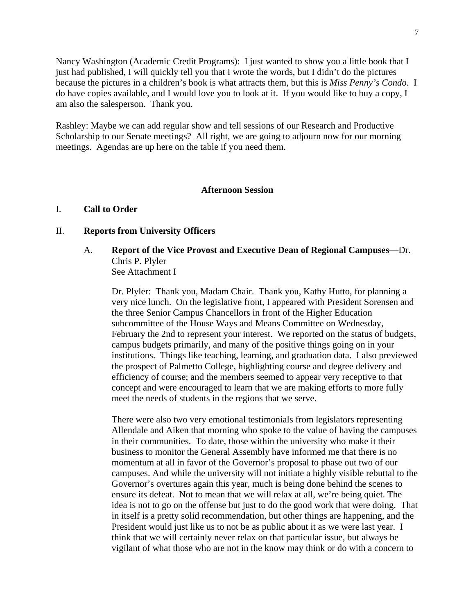Nancy Washington (Academic Credit Programs): I just wanted to show you a little book that I just had published, I will quickly tell you that I wrote the words, but I didn't do the pictures because the pictures in a children's book is what attracts them, but this is *Miss Penny's Condo*. I do have copies available, and I would love you to look at it. If you would like to buy a copy, I am also the salesperson. Thank you.

Rashley: Maybe we can add regular show and tell sessions of our Research and Productive Scholarship to our Senate meetings? All right, we are going to adjourn now for our morning meetings. Agendas are up here on the table if you need them.

# **Afternoon Session**

### I. **Call to Order**

# II. **Reports from University Officers**

A. **Report of the Vice Provost and Executive Dean of Regional Campuses**—Dr. Chris P. Plyler See Attachment I

Dr. Plyler:Thank you, Madam Chair. Thank you, Kathy Hutto, for planning a very nice lunch. On the legislative front, I appeared with President Sorensen and the three Senior Campus Chancellors in front of the Higher Education subcommittee of the House Ways and Means Committee on Wednesday, February the 2nd to represent your interest. We reported on the status of budgets, campus budgets primarily, and many of the positive things going on in your institutions. Things like teaching, learning, and graduation data. I also previewed the prospect of Palmetto College, highlighting course and degree delivery and efficiency of course; and the members seemed to appear very receptive to that concept and were encouraged to learn that we are making efforts to more fully meet the needs of students in the regions that we serve.

There were also two very emotional testimonials from legislators representing Allendale and Aiken that morning who spoke to the value of having the campuses in their communities. To date, those within the university who make it their business to monitor the General Assembly have informed me that there is no momentum at all in favor of the Governor's proposal to phase out two of our campuses. And while the university will not initiate a highly visible rebuttal to the Governor's overtures again this year, much is being done behind the scenes to ensure its defeat. Not to mean that we will relax at all, we're being quiet. The idea is not to go on the offense but just to do the good work that were doing. That in itself is a pretty solid recommendation, but other things are happening, and the President would just like us to not be as public about it as we were last year. I think that we will certainly never relax on that particular issue, but always be vigilant of what those who are not in the know may think or do with a concern to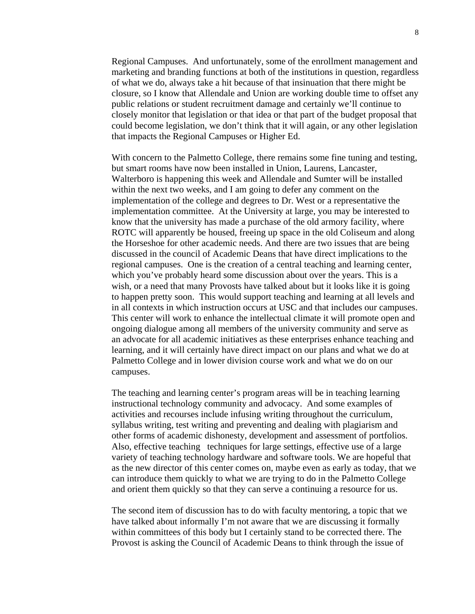Regional Campuses. And unfortunately, some of the enrollment management and marketing and branding functions at both of the institutions in question, regardless of what we do, always take a hit because of that insinuation that there might be closure, so I know that Allendale and Union are working double time to offset any public relations or student recruitment damage and certainly we'll continue to closely monitor that legislation or that idea or that part of the budget proposal that could become legislation, we don't think that it will again, or any other legislation that impacts the Regional Campuses or Higher Ed.

With concern to the Palmetto College, there remains some fine tuning and testing, but smart rooms have now been installed in Union, Laurens, Lancaster, Walterboro is happening this week and Allendale and Sumter will be installed within the next two weeks, and I am going to defer any comment on the implementation of the college and degrees to Dr. West or a representative the implementation committee. At the University at large, you may be interested to know that the university has made a purchase of the old armory facility, where ROTC will apparently be housed, freeing up space in the old Coliseum and along the Horseshoe for other academic needs. And there are two issues that are being discussed in the council of Academic Deans that have direct implications to the regional campuses. One is the creation of a central teaching and learning center, which you've probably heard some discussion about over the years. This is a wish, or a need that many Provosts have talked about but it looks like it is going to happen pretty soon. This would support teaching and learning at all levels and in all contexts in which instruction occurs at USC and that includes our campuses. This center will work to enhance the intellectual climate it will promote open and ongoing dialogue among all members of the university community and serve as an advocate for all academic initiatives as these enterprises enhance teaching and learning, and it will certainly have direct impact on our plans and what we do at Palmetto College and in lower division course work and what we do on our campuses.

The teaching and learning center's program areas will be in teaching learning instructional technology community and advocacy. And some examples of activities and recourses include infusing writing throughout the curriculum, syllabus writing, test writing and preventing and dealing with plagiarism and other forms of academic dishonesty, development and assessment of portfolios. Also, effective teaching techniques for large settings, effective use of a large variety of teaching technology hardware and software tools. We are hopeful that as the new director of this center comes on, maybe even as early as today, that we can introduce them quickly to what we are trying to do in the Palmetto College and orient them quickly so that they can serve a continuing a resource for us.

The second item of discussion has to do with faculty mentoring, a topic that we have talked about informally I'm not aware that we are discussing it formally within committees of this body but I certainly stand to be corrected there. The Provost is asking the Council of Academic Deans to think through the issue of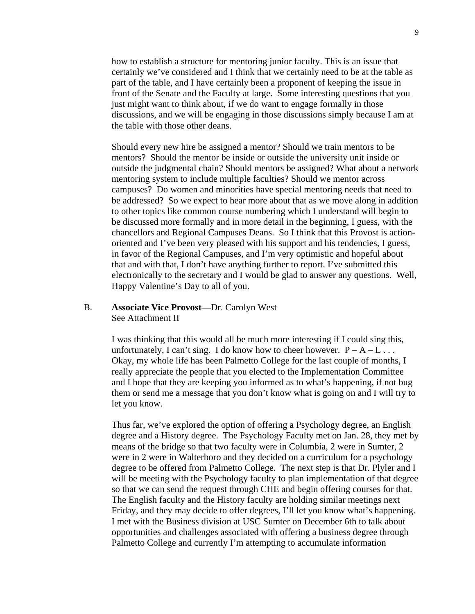how to establish a structure for mentoring junior faculty. This is an issue that certainly we've considered and I think that we certainly need to be at the table as part of the table, and I have certainly been a proponent of keeping the issue in front of the Senate and the Faculty at large. Some interesting questions that you just might want to think about, if we do want to engage formally in those discussions, and we will be engaging in those discussions simply because I am at the table with those other deans.

Should every new hire be assigned a mentor? Should we train mentors to be mentors? Should the mentor be inside or outside the university unit inside or outside the judgmental chain? Should mentors be assigned? What about a network mentoring system to include multiple faculties? Should we mentor across campuses? Do women and minorities have special mentoring needs that need to be addressed? So we expect to hear more about that as we move along in addition to other topics like common course numbering which I understand will begin to be discussed more formally and in more detail in the beginning, I guess, with the chancellors and Regional Campuses Deans. So I think that this Provost is actionoriented and I've been very pleased with his support and his tendencies, I guess, in favor of the Regional Campuses, and I'm very optimistic and hopeful about that and with that, I don't have anything further to report. I've submitted this electronically to the secretary and I would be glad to answer any questions. Well, Happy Valentine's Day to all of you.

# B. **Associate Vice Provost—**Dr. Carolyn West See Attachment II

I was thinking that this would all be much more interesting if I could sing this, unfortunately, I can't sing. I do know how to cheer however.  $P - A - L$ ... Okay, my whole life has been Palmetto College for the last couple of months, I really appreciate the people that you elected to the Implementation Committee and I hope that they are keeping you informed as to what's happening, if not bug them or send me a message that you don't know what is going on and I will try to let you know.

Thus far, we've explored the option of offering a Psychology degree, an English degree and a History degree. The Psychology Faculty met on Jan. 28, they met by means of the bridge so that two faculty were in Columbia, 2 were in Sumter, 2 were in 2 were in Walterboro and they decided on a curriculum for a psychology degree to be offered from Palmetto College. The next step is that Dr. Plyler and I will be meeting with the Psychology faculty to plan implementation of that degree so that we can send the request through CHE and begin offering courses for that. The English faculty and the History faculty are holding similar meetings next Friday, and they may decide to offer degrees, I'll let you know what's happening. I met with the Business division at USC Sumter on December 6th to talk about opportunities and challenges associated with offering a business degree through Palmetto College and currently I'm attempting to accumulate information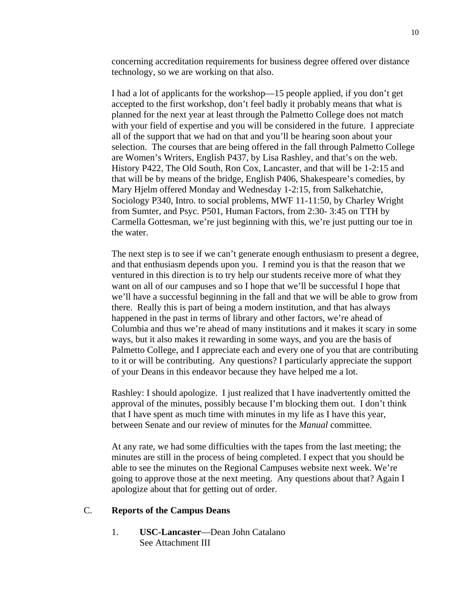concerning accreditation requirements for business degree offered over distance technology, so we are working on that also.

I had a lot of applicants for the workshop—15 people applied, if you don't get accepted to the first workshop, don't feel badly it probably means that what is planned for the next year at least through the Palmetto College does not match with your field of expertise and you will be considered in the future. I appreciate all of the support that we had on that and you'll be hearing soon about your selection. The courses that are being offered in the fall through Palmetto College are Women's Writers, English P437, by Lisa Rashley, and that's on the web. History P422, The Old South, Ron Cox, Lancaster, and that will be 1-2:15 and that will be by means of the bridge, English P406, Shakespeare's comedies, by Mary Hjelm offered Monday and Wednesday 1-2:15, from Salkehatchie, Sociology P340, Intro. to social problems, MWF 11-11:50, by Charley Wright from Sumter, and Psyc. P501, Human Factors, from 2:30- 3:45 on TTH by Carmella Gottesman, we're just beginning with this, we're just putting our toe in the water.

The next step is to see if we can't generate enough enthusiasm to present a degree, and that enthusiasm depends upon you. I remind you is that the reason that we ventured in this direction is to try help our students receive more of what they want on all of our campuses and so I hope that we'll be successful I hope that we'll have a successful beginning in the fall and that we will be able to grow from there. Really this is part of being a modern institution, and that has always happened in the past in terms of library and other factors, we're ahead of Columbia and thus we're ahead of many institutions and it makes it scary in some ways, but it also makes it rewarding in some ways, and you are the basis of Palmetto College, and I appreciate each and every one of you that are contributing to it or will be contributing. Any questions? I particularly appreciate the support of your Deans in this endeavor because they have helped me a lot.

Rashley: I should apologize. I just realized that I have inadvertently omitted the approval of the minutes, possibly because I'm blocking them out. I don't think that I have spent as much time with minutes in my life as I have this year, between Senate and our review of minutes for the *Manual* committee.

At any rate, we had some difficulties with the tapes from the last meeting; the minutes are still in the process of being completed. I expect that you should be able to see the minutes on the Regional Campuses website next week. We're going to approve those at the next meeting. Any questions about that? Again I apologize about that for getting out of order.

### C. **Reports of the Campus Deans**

1. **USC-Lancaster**—Dean John Catalano See Attachment III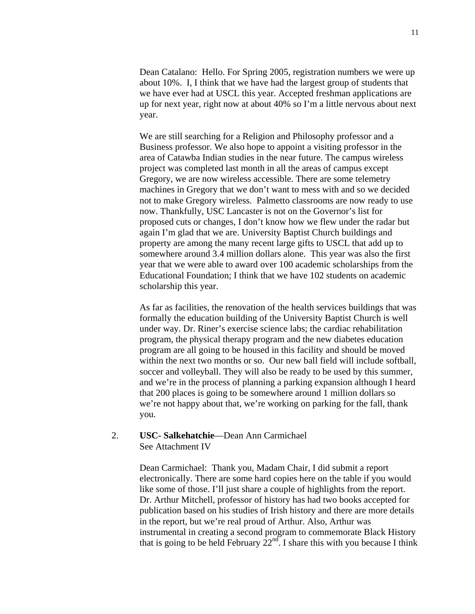Dean Catalano: Hello. For Spring 2005, registration numbers we were up about 10%. I, I think that we have had the largest group of students that we have ever had at USCL this year. Accepted freshman applications are up for next year, right now at about 40% so I'm a little nervous about next year.

We are still searching for a Religion and Philosophy professor and a Business professor. We also hope to appoint a visiting professor in the area of Catawba Indian studies in the near future. The campus wireless project was completed last month in all the areas of campus except Gregory, we are now wireless accessible. There are some telemetry machines in Gregory that we don't want to mess with and so we decided not to make Gregory wireless. Palmetto classrooms are now ready to use now. Thankfully, USC Lancaster is not on the Governor's list for proposed cuts or changes, I don't know how we flew under the radar but again I'm glad that we are. University Baptist Church buildings and property are among the many recent large gifts to USCL that add up to somewhere around 3.4 million dollars alone. This year was also the first year that we were able to award over 100 academic scholarships from the Educational Foundation; I think that we have 102 students on academic scholarship this year.

As far as facilities, the renovation of the health services buildings that was formally the education building of the University Baptist Church is well under way. Dr. Riner's exercise science labs; the cardiac rehabilitation program, the physical therapy program and the new diabetes education program are all going to be housed in this facility and should be moved within the next two months or so. Our new ball field will include softball, soccer and volleyball. They will also be ready to be used by this summer, and we're in the process of planning a parking expansion although I heard that 200 places is going to be somewhere around 1 million dollars so we're not happy about that, we're working on parking for the fall, thank you.

# 2. **USC- Salkehatchie**—Dean Ann Carmichael See Attachment IV

Dean Carmichael: Thank you, Madam Chair, I did submit a report electronically. There are some hard copies here on the table if you would like some of those. I'll just share a couple of highlights from the report. Dr. Arthur Mitchell, professor of history has had two books accepted for publication based on his studies of Irish history and there are more details in the report, but we're real proud of Arthur. Also, Arthur was instrumental in creating a second program to commemorate Black History that is going to be held February  $22<sup>nd</sup>$ . I share this with you because I think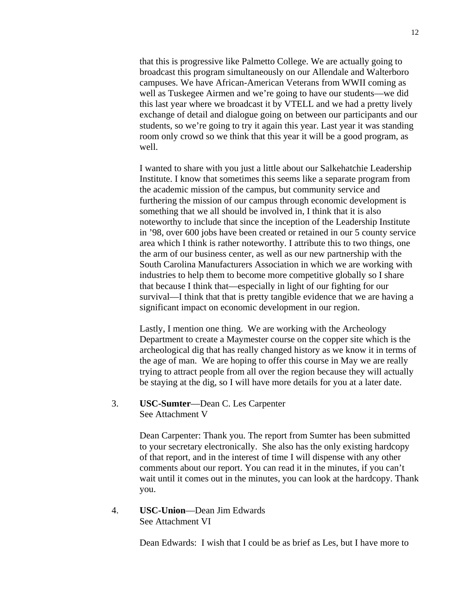that this is progressive like Palmetto College. We are actually going to broadcast this program simultaneously on our Allendale and Walterboro campuses. We have African-American Veterans from WWII coming as well as Tuskegee Airmen and we're going to have our students—we did this last year where we broadcast it by VTELL and we had a pretty lively exchange of detail and dialogue going on between our participants and our students, so we're going to try it again this year. Last year it was standing room only crowd so we think that this year it will be a good program, as well.

I wanted to share with you just a little about our Salkehatchie Leadership Institute. I know that sometimes this seems like a separate program from the academic mission of the campus, but community service and furthering the mission of our campus through economic development is something that we all should be involved in, I think that it is also noteworthy to include that since the inception of the Leadership Institute in '98, over 600 jobs have been created or retained in our 5 county service area which I think is rather noteworthy. I attribute this to two things, one the arm of our business center, as well as our new partnership with the South Carolina Manufacturers Association in which we are working with industries to help them to become more competitive globally so I share that because I think that—especially in light of our fighting for our survival—I think that that is pretty tangible evidence that we are having a significant impact on economic development in our region.

Lastly, I mention one thing. We are working with the Archeology Department to create a Maymester course on the copper site which is the archeological dig that has really changed history as we know it in terms of the age of man. We are hoping to offer this course in May we are really trying to attract people from all over the region because they will actually be staying at the dig, so I will have more details for you at a later date.

3. **USC-Sumter**—Dean C. Les Carpenter See Attachment V

> Dean Carpenter: Thank you. The report from Sumter has been submitted to your secretary electronically. She also has the only existing hardcopy of that report, and in the interest of time I will dispense with any other comments about our report. You can read it in the minutes, if you can't wait until it comes out in the minutes, you can look at the hardcopy. Thank you.

4. **USC-Union**—Dean Jim Edwards See Attachment VI

Dean Edwards:I wish that I could be as brief as Les, but I have more to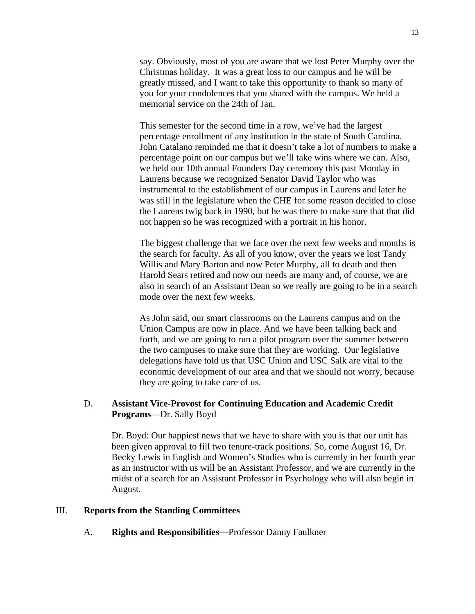say. Obviously, most of you are aware that we lost Peter Murphy over the Christmas holiday. It was a great loss to our campus and he will be greatly missed, and I want to take this opportunity to thank so many of you for your condolences that you shared with the campus. We held a memorial service on the 24th of Jan.

This semester for the second time in a row, we've had the largest percentage enrollment of any institution in the state of South Carolina. John Catalano reminded me that it doesn't take a lot of numbers to make a percentage point on our campus but we'll take wins where we can. Also, we held our 10th annual Founders Day ceremony this past Monday in Laurens because we recognized Senator David Taylor who was instrumental to the establishment of our campus in Laurens and later he was still in the legislature when the CHE for some reason decided to close the Laurens twig back in 1990, but he was there to make sure that that did not happen so he was recognized with a portrait in his honor.

The biggest challenge that we face over the next few weeks and months is the search for faculty. As all of you know, over the years we lost Tandy Willis and Mary Barton and now Peter Murphy, all to death and then Harold Sears retired and now our needs are many and, of course, we are also in search of an Assistant Dean so we really are going to be in a search mode over the next few weeks.

As John said, our smart classrooms on the Laurens campus and on the Union Campus are now in place. And we have been talking back and forth, and we are going to run a pilot program over the summer between the two campuses to make sure that they are working. Our legislative delegations have told us that USC Union and USC Salk are vital to the economic development of our area and that we should not worry, because they are going to take care of us.

# D. **Assistant Vice-Provost for Continuing Education and Academic Credit Programs**—Dr. Sally Boyd

Dr. Boyd: Our happiest news that we have to share with you is that our unit has been given approval to fill two tenure-track positions. So, come August 16, Dr. Becky Lewis in English and Women's Studies who is currently in her fourth year as an instructor with us will be an Assistant Professor, and we are currently in the midst of a search for an Assistant Professor in Psychology who will also begin in August.

### III. **Reports from the Standing Committees**

A. **Rights and Responsibilities**—Professor Danny Faulkner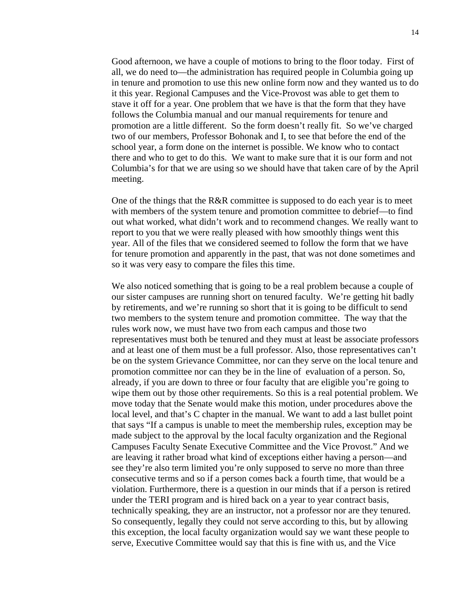Good afternoon, we have a couple of motions to bring to the floor today. First of all, we do need to—the administration has required people in Columbia going up in tenure and promotion to use this new online form now and they wanted us to do it this year. Regional Campuses and the Vice-Provost was able to get them to stave it off for a year. One problem that we have is that the form that they have follows the Columbia manual and our manual requirements for tenure and promotion are a little different. So the form doesn't really fit. So we've charged two of our members, Professor Bohonak and I, to see that before the end of the school year, a form done on the internet is possible. We know who to contact there and who to get to do this. We want to make sure that it is our form and not Columbia's for that we are using so we should have that taken care of by the April meeting.

One of the things that the R&R committee is supposed to do each year is to meet with members of the system tenure and promotion committee to debrief—to find out what worked, what didn't work and to recommend changes. We really want to report to you that we were really pleased with how smoothly things went this year. All of the files that we considered seemed to follow the form that we have for tenure promotion and apparently in the past, that was not done sometimes and so it was very easy to compare the files this time.

We also noticed something that is going to be a real problem because a couple of our sister campuses are running short on tenured faculty. We're getting hit badly by retirements, and we're running so short that it is going to be difficult to send two members to the system tenure and promotion committee. The way that the rules work now, we must have two from each campus and those two representatives must both be tenured and they must at least be associate professors and at least one of them must be a full professor. Also, those representatives can't be on the system Grievance Committee, nor can they serve on the local tenure and promotion committee nor can they be in the line of evaluation of a person. So, already, if you are down to three or four faculty that are eligible you're going to wipe them out by those other requirements. So this is a real potential problem. We move today that the Senate would make this motion, under procedures above the local level, and that's C chapter in the manual. We want to add a last bullet point that says "If a campus is unable to meet the membership rules, exception may be made subject to the approval by the local faculty organization and the Regional Campuses Faculty Senate Executive Committee and the Vice Provost." And we are leaving it rather broad what kind of exceptions either having a person—and see they're also term limited you're only supposed to serve no more than three consecutive terms and so if a person comes back a fourth time, that would be a violation. Furthermore, there is a question in our minds that if a person is retired under the TERI program and is hired back on a year to year contract basis, technically speaking, they are an instructor, not a professor nor are they tenured. So consequently, legally they could not serve according to this, but by allowing this exception, the local faculty organization would say we want these people to serve, Executive Committee would say that this is fine with us, and the Vice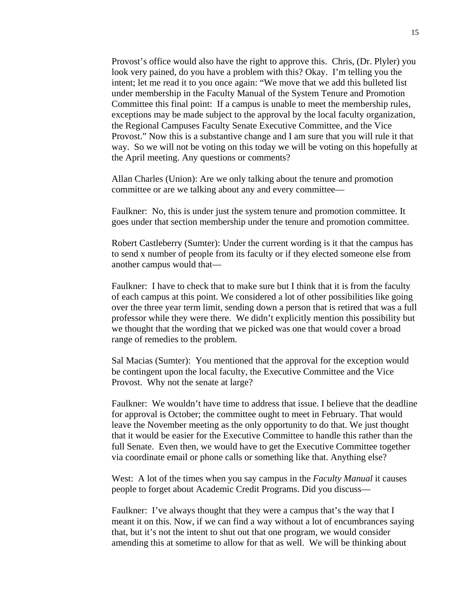Provost's office would also have the right to approve this. Chris, (Dr. Plyler) you look very pained, do you have a problem with this? Okay. I'm telling you the intent; let me read it to you once again: "We move that we add this bulleted list under membership in the Faculty Manual of the System Tenure and Promotion Committee this final point: If a campus is unable to meet the membership rules, exceptions may be made subject to the approval by the local faculty organization, the Regional Campuses Faculty Senate Executive Committee, and the Vice Provost." Now this is a substantive change and I am sure that you will rule it that way. So we will not be voting on this today we will be voting on this hopefully at the April meeting. Any questions or comments?

Allan Charles (Union): Are we only talking about the tenure and promotion committee or are we talking about any and every committee—

Faulkner: No, this is under just the system tenure and promotion committee. It goes under that section membership under the tenure and promotion committee.

Robert Castleberry (Sumter): Under the current wording is it that the campus has to send x number of people from its faculty or if they elected someone else from another campus would that—

Faulkner: I have to check that to make sure but I think that it is from the faculty of each campus at this point. We considered a lot of other possibilities like going over the three year term limit, sending down a person that is retired that was a full professor while they were there. We didn't explicitly mention this possibility but we thought that the wording that we picked was one that would cover a broad range of remedies to the problem.

Sal Macias (Sumter): You mentioned that the approval for the exception would be contingent upon the local faculty, the Executive Committee and the Vice Provost. Why not the senate at large?

Faulkner: We wouldn't have time to address that issue. I believe that the deadline for approval is October; the committee ought to meet in February. That would leave the November meeting as the only opportunity to do that. We just thought that it would be easier for the Executive Committee to handle this rather than the full Senate. Even then, we would have to get the Executive Committee together via coordinate email or phone calls or something like that. Anything else?

West: A lot of the times when you say campus in the *Faculty Manual* it causes people to forget about Academic Credit Programs. Did you discuss—

Faulkner: I've always thought that they were a campus that's the way that I meant it on this. Now, if we can find a way without a lot of encumbrances saying that, but it's not the intent to shut out that one program, we would consider amending this at sometime to allow for that as well. We will be thinking about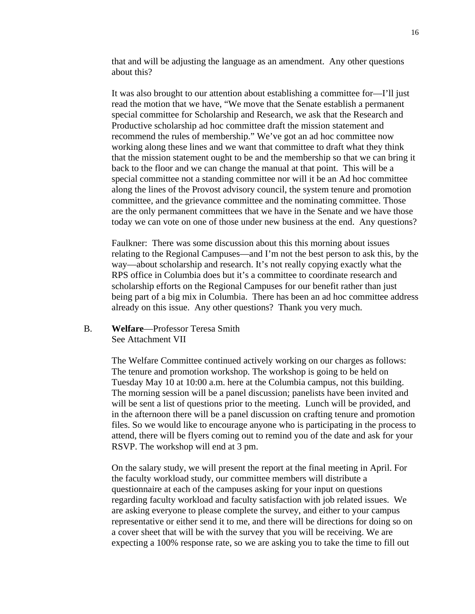that and will be adjusting the language as an amendment. Any other questions about this?

It was also brought to our attention about establishing a committee for—I'll just read the motion that we have, "We move that the Senate establish a permanent special committee for Scholarship and Research, we ask that the Research and Productive scholarship ad hoc committee draft the mission statement and recommend the rules of membership." We've got an ad hoc committee now working along these lines and we want that committee to draft what they think that the mission statement ought to be and the membership so that we can bring it back to the floor and we can change the manual at that point. This will be a special committee not a standing committee nor will it be an Ad hoc committee along the lines of the Provost advisory council, the system tenure and promotion committee, and the grievance committee and the nominating committee. Those are the only permanent committees that we have in the Senate and we have those today we can vote on one of those under new business at the end. Any questions?

Faulkner: There was some discussion about this this morning about issues relating to the Regional Campuses—and I'm not the best person to ask this, by the way—about scholarship and research. It's not really copying exactly what the RPS office in Columbia does but it's a committee to coordinate research and scholarship efforts on the Regional Campuses for our benefit rather than just being part of a big mix in Columbia. There has been an ad hoc committee address already on this issue. Any other questions? Thank you very much.

# B. **Welfare**—Professor Teresa Smith See Attachment VII

The Welfare Committee continued actively working on our charges as follows: The tenure and promotion workshop. The workshop is going to be held on Tuesday May 10 at 10:00 a.m. here at the Columbia campus, not this building. The morning session will be a panel discussion; panelists have been invited and will be sent a list of questions prior to the meeting. Lunch will be provided, and in the afternoon there will be a panel discussion on crafting tenure and promotion files. So we would like to encourage anyone who is participating in the process to attend, there will be flyers coming out to remind you of the date and ask for your RSVP. The workshop will end at 3 pm.

On the salary study, we will present the report at the final meeting in April. For the faculty workload study, our committee members will distribute a questionnaire at each of the campuses asking for your input on questions regarding faculty workload and faculty satisfaction with job related issues. We are asking everyone to please complete the survey, and either to your campus representative or either send it to me, and there will be directions for doing so on a cover sheet that will be with the survey that you will be receiving. We are expecting a 100% response rate, so we are asking you to take the time to fill out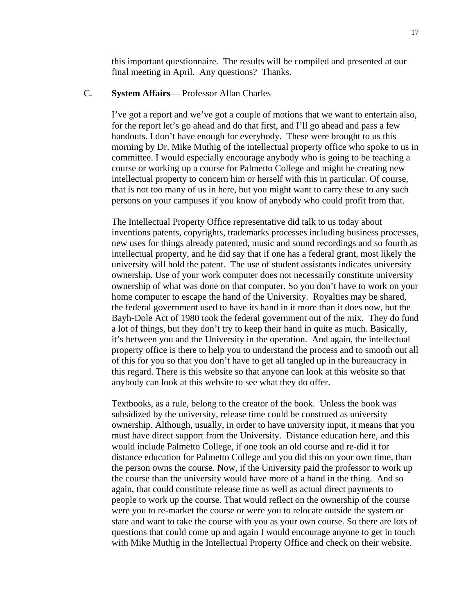this important questionnaire. The results will be compiled and presented at our final meeting in April. Any questions? Thanks.

# C. **System Affairs**— Professor Allan Charles

I've got a report and we've got a couple of motions that we want to entertain also, for the report let's go ahead and do that first, and I'll go ahead and pass a few handouts. I don't have enough for everybody. These were brought to us this morning by Dr. Mike Muthig of the intellectual property office who spoke to us in committee. I would especially encourage anybody who is going to be teaching a course or working up a course for Palmetto College and might be creating new intellectual property to concern him or herself with this in particular. Of course, that is not too many of us in here, but you might want to carry these to any such persons on your campuses if you know of anybody who could profit from that.

The Intellectual Property Office representative did talk to us today about inventions patents, copyrights, trademarks processes including business processes, new uses for things already patented, music and sound recordings and so fourth as intellectual property, and he did say that if one has a federal grant, most likely the university will hold the patent. The use of student assistants indicates university ownership. Use of your work computer does not necessarily constitute university ownership of what was done on that computer. So you don't have to work on your home computer to escape the hand of the University. Royalties may be shared, the federal government used to have its hand in it more than it does now, but the Bayh-Dole Act of 1980 took the federal government out of the mix. They do fund a lot of things, but they don't try to keep their hand in quite as much. Basically, it's between you and the University in the operation. And again, the intellectual property office is there to help you to understand the process and to smooth out all of this for you so that you don't have to get all tangled up in the bureaucracy in this regard. There is this website so that anyone can look at this website so that anybody can look at this website to see what they do offer.

Textbooks, as a rule, belong to the creator of the book. Unless the book was subsidized by the university, release time could be construed as university ownership. Although, usually, in order to have university input, it means that you must have direct support from the University. Distance education here, and this would include Palmetto College, if one took an old course and re-did it for distance education for Palmetto College and you did this on your own time, than the person owns the course. Now, if the University paid the professor to work up the course than the university would have more of a hand in the thing. And so again, that could constitute release time as well as actual direct payments to people to work up the course. That would reflect on the ownership of the course were you to re-market the course or were you to relocate outside the system or state and want to take the course with you as your own course. So there are lots of questions that could come up and again I would encourage anyone to get in touch with Mike Muthig in the Intellectual Property Office and check on their website.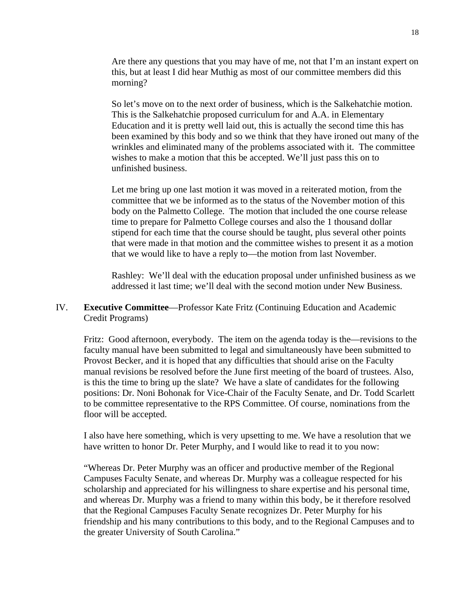Are there any questions that you may have of me, not that I'm an instant expert on this, but at least I did hear Muthig as most of our committee members did this morning?

So let's move on to the next order of business, which is the Salkehatchie motion. This is the Salkehatchie proposed curriculum for and A.A. in Elementary Education and it is pretty well laid out, this is actually the second time this has been examined by this body and so we think that they have ironed out many of the wrinkles and eliminated many of the problems associated with it. The committee wishes to make a motion that this be accepted. We'll just pass this on to unfinished business.

Let me bring up one last motion it was moved in a reiterated motion, from the committee that we be informed as to the status of the November motion of this body on the Palmetto College. The motion that included the one course release time to prepare for Palmetto College courses and also the 1 thousand dollar stipend for each time that the course should be taught, plus several other points that were made in that motion and the committee wishes to present it as a motion that we would like to have a reply to—the motion from last November.

Rashley: We'll deal with the education proposal under unfinished business as we addressed it last time; we'll deal with the second motion under New Business.

# IV. **Executive Committee**—Professor Kate Fritz (Continuing Education and Academic Credit Programs)

Fritz: Good afternoon, everybody. The item on the agenda today is the—revisions to the faculty manual have been submitted to legal and simultaneously have been submitted to Provost Becker, and it is hoped that any difficulties that should arise on the Faculty manual revisions be resolved before the June first meeting of the board of trustees. Also, is this the time to bring up the slate? We have a slate of candidates for the following positions: Dr. Noni Bohonak for Vice-Chair of the Faculty Senate, and Dr. Todd Scarlett to be committee representative to the RPS Committee. Of course, nominations from the floor will be accepted.

I also have here something, which is very upsetting to me. We have a resolution that we have written to honor Dr. Peter Murphy, and I would like to read it to you now:

"Whereas Dr. Peter Murphy was an officer and productive member of the Regional Campuses Faculty Senate, and whereas Dr. Murphy was a colleague respected for his scholarship and appreciated for his willingness to share expertise and his personal time, and whereas Dr. Murphy was a friend to many within this body, be it therefore resolved that the Regional Campuses Faculty Senate recognizes Dr. Peter Murphy for his friendship and his many contributions to this body, and to the Regional Campuses and to the greater University of South Carolina."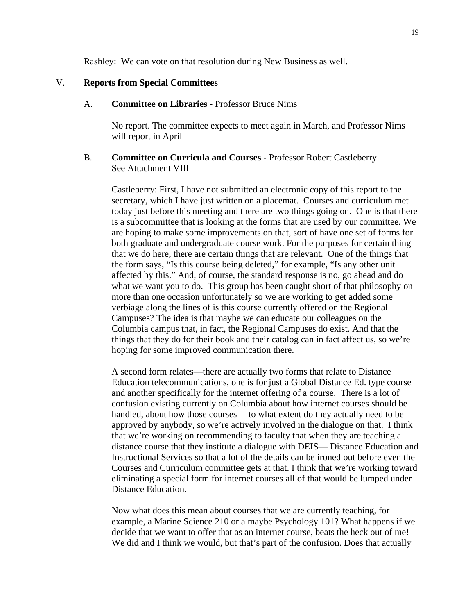Rashley: We can vote on that resolution during New Business as well.

# V. **Reports from Special Committees**

#### A. **Committee on Libraries** - Professor Bruce Nims

 No report. The committee expects to meet again in March, and Professor Nims will report in April

# B. **Committee on Curricula and Courses** - Professor Robert Castleberry See Attachment VIII

Castleberry: First, I have not submitted an electronic copy of this report to the secretary, which I have just written on a placemat. Courses and curriculum met today just before this meeting and there are two things going on. One is that there is a subcommittee that is looking at the forms that are used by our committee. We are hoping to make some improvements on that, sort of have one set of forms for both graduate and undergraduate course work. For the purposes for certain thing that we do here, there are certain things that are relevant. One of the things that the form says, "Is this course being deleted," for example, "Is any other unit affected by this." And, of course, the standard response is no, go ahead and do what we want you to do. This group has been caught short of that philosophy on more than one occasion unfortunately so we are working to get added some verbiage along the lines of is this course currently offered on the Regional Campuses? The idea is that maybe we can educate our colleagues on the Columbia campus that, in fact, the Regional Campuses do exist. And that the things that they do for their book and their catalog can in fact affect us, so we're hoping for some improved communication there.

A second form relates—there are actually two forms that relate to Distance Education telecommunications, one is for just a Global Distance Ed. type course and another specifically for the internet offering of a course. There is a lot of confusion existing currently on Columbia about how internet courses should be handled, about how those courses— to what extent do they actually need to be approved by anybody, so we're actively involved in the dialogue on that. I think that we're working on recommending to faculty that when they are teaching a distance course that they institute a dialogue with DEIS— Distance Education and Instructional Services so that a lot of the details can be ironed out before even the Courses and Curriculum committee gets at that. I think that we're working toward eliminating a special form for internet courses all of that would be lumped under Distance Education.

Now what does this mean about courses that we are currently teaching, for example, a Marine Science 210 or a maybe Psychology 101? What happens if we decide that we want to offer that as an internet course, beats the heck out of me! We did and I think we would, but that's part of the confusion. Does that actually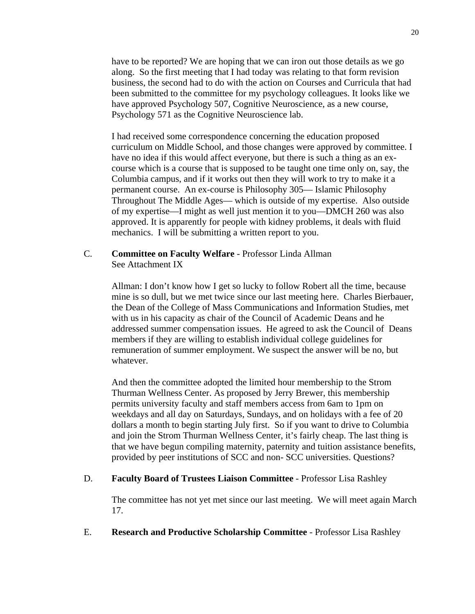have to be reported? We are hoping that we can iron out those details as we go along. So the first meeting that I had today was relating to that form revision business, the second had to do with the action on Courses and Curricula that had been submitted to the committee for my psychology colleagues. It looks like we have approved Psychology 507, Cognitive Neuroscience, as a new course, Psychology 571 as the Cognitive Neuroscience lab.

I had received some correspondence concerning the education proposed curriculum on Middle School, and those changes were approved by committee. I have no idea if this would affect everyone, but there is such a thing as an excourse which is a course that is supposed to be taught one time only on, say, the Columbia campus, and if it works out then they will work to try to make it a permanent course. An ex-course is Philosophy 305— Islamic Philosophy Throughout The Middle Ages— which is outside of my expertise. Also outside of my expertise—I might as well just mention it to you—DMCH 260 was also approved. It is apparently for people with kidney problems, it deals with fluid mechanics. I will be submitting a written report to you.

# C. **Committee on Faculty Welfare** - Professor Linda Allman See Attachment IX

Allman: I don't know how I get so lucky to follow Robert all the time, because mine is so dull, but we met twice since our last meeting here. Charles Bierbauer, the Dean of the College of Mass Communications and Information Studies, met with us in his capacity as chair of the Council of Academic Deans and he addressed summer compensation issues. He agreed to ask the Council of Deans members if they are willing to establish individual college guidelines for remuneration of summer employment. We suspect the answer will be no, but whatever.

And then the committee adopted the limited hour membership to the Strom Thurman Wellness Center. As proposed by Jerry Brewer, this membership permits university faculty and staff members access from 6am to 1pm on weekdays and all day on Saturdays, Sundays, and on holidays with a fee of 20 dollars a month to begin starting July first. So if you want to drive to Columbia and join the Strom Thurman Wellness Center, it's fairly cheap. The last thing is that we have begun compiling maternity, paternity and tuition assistance benefits, provided by peer institutions of SCC and non- SCC universities. Questions?

# D. **Faculty Board of Trustees Liaison Committee** - Professor Lisa Rashley

The committee has not yet met since our last meeting. We will meet again March 17.

# E. **Research and Productive Scholarship Committee** - Professor Lisa Rashley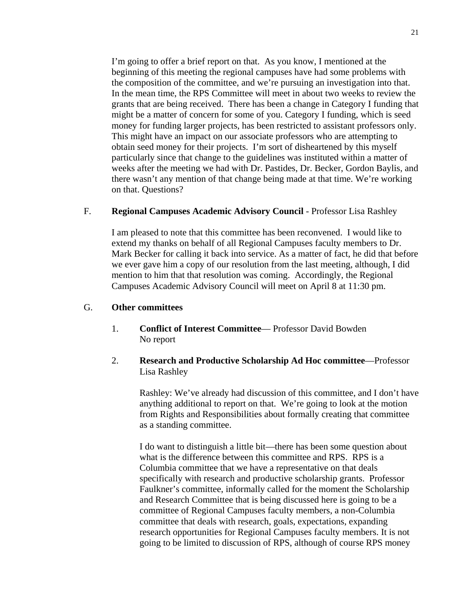I'm going to offer a brief report on that. As you know, I mentioned at the beginning of this meeting the regional campuses have had some problems with the composition of the committee, and we're pursuing an investigation into that. In the mean time, the RPS Committee will meet in about two weeks to review the grants that are being received. There has been a change in Category I funding that might be a matter of concern for some of you. Category I funding, which is seed money for funding larger projects, has been restricted to assistant professors only. This might have an impact on our associate professors who are attempting to obtain seed money for their projects. I'm sort of disheartened by this myself particularly since that change to the guidelines was instituted within a matter of weeks after the meeting we had with Dr. Pastides, Dr. Becker, Gordon Baylis, and there wasn't any mention of that change being made at that time. We're working on that. Questions?

# F. **Regional Campuses Academic Advisory Council** - Professor Lisa Rashley

I am pleased to note that this committee has been reconvened. I would like to extend my thanks on behalf of all Regional Campuses faculty members to Dr. Mark Becker for calling it back into service. As a matter of fact, he did that before we ever gave him a copy of our resolution from the last meeting, although, I did mention to him that that resolution was coming. Accordingly, the Regional Campuses Academic Advisory Council will meet on April 8 at 11:30 pm.

# G. **Other committees**

- 1. **Conflict of Interest Committee** Professor David Bowden No report
- 2. **Research and Productive Scholarship Ad Hoc committee**—Professor Lisa Rashley

Rashley: We've already had discussion of this committee, and I don't have anything additional to report on that. We're going to look at the motion from Rights and Responsibilities about formally creating that committee as a standing committee.

I do want to distinguish a little bit—there has been some question about what is the difference between this committee and RPS. RPS is a Columbia committee that we have a representative on that deals specifically with research and productive scholarship grants. Professor Faulkner's committee, informally called for the moment the Scholarship and Research Committee that is being discussed here is going to be a committee of Regional Campuses faculty members, a non-Columbia committee that deals with research, goals, expectations, expanding research opportunities for Regional Campuses faculty members. It is not going to be limited to discussion of RPS, although of course RPS money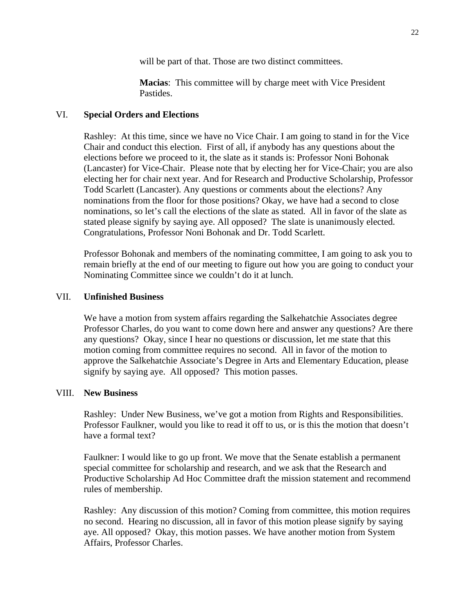will be part of that. Those are two distinct committees.

**Macias**: This committee will by charge meet with Vice President Pastides.

# VI. **Special Orders and Elections**

Rashley: At this time, since we have no Vice Chair. I am going to stand in for the Vice Chair and conduct this election. First of all, if anybody has any questions about the elections before we proceed to it, the slate as it stands is: Professor Noni Bohonak (Lancaster) for Vice-Chair. Please note that by electing her for Vice-Chair; you are also electing her for chair next year. And for Research and Productive Scholarship, Professor Todd Scarlett (Lancaster). Any questions or comments about the elections? Any nominations from the floor for those positions? Okay, we have had a second to close nominations, so let's call the elections of the slate as stated. All in favor of the slate as stated please signify by saying aye. All opposed? The slate is unanimously elected. Congratulations, Professor Noni Bohonak and Dr. Todd Scarlett.

Professor Bohonak and members of the nominating committee, I am going to ask you to remain briefly at the end of our meeting to figure out how you are going to conduct your Nominating Committee since we couldn't do it at lunch.

# VII. **Unfinished Business**

We have a motion from system affairs regarding the Salkehatchie Associates degree Professor Charles, do you want to come down here and answer any questions? Are there any questions? Okay, since I hear no questions or discussion, let me state that this motion coming from committee requires no second. All in favor of the motion to approve the Salkehatchie Associate's Degree in Arts and Elementary Education, please signify by saying aye. All opposed? This motion passes.

# VIII. **New Business**

Rashley: Under New Business, we've got a motion from Rights and Responsibilities. Professor Faulkner, would you like to read it off to us, or is this the motion that doesn't have a formal text?

Faulkner: I would like to go up front. We move that the Senate establish a permanent special committee for scholarship and research, and we ask that the Research and Productive Scholarship Ad Hoc Committee draft the mission statement and recommend rules of membership.

Rashley: Any discussion of this motion? Coming from committee, this motion requires no second. Hearing no discussion, all in favor of this motion please signify by saying aye. All opposed? Okay, this motion passes. We have another motion from System Affairs, Professor Charles.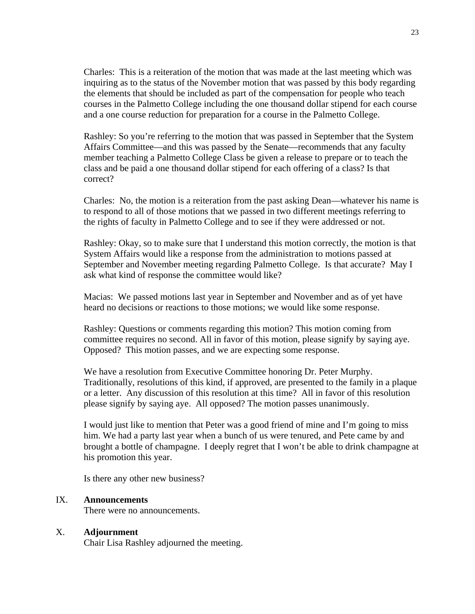Charles: This is a reiteration of the motion that was made at the last meeting which was inquiring as to the status of the November motion that was passed by this body regarding the elements that should be included as part of the compensation for people who teach courses in the Palmetto College including the one thousand dollar stipend for each course and a one course reduction for preparation for a course in the Palmetto College.

Rashley: So you're referring to the motion that was passed in September that the System Affairs Committee—and this was passed by the Senate—recommends that any faculty member teaching a Palmetto College Class be given a release to prepare or to teach the class and be paid a one thousand dollar stipend for each offering of a class? Is that correct?

Charles: No, the motion is a reiteration from the past asking Dean—whatever his name is to respond to all of those motions that we passed in two different meetings referring to the rights of faculty in Palmetto College and to see if they were addressed or not.

Rashley: Okay, so to make sure that I understand this motion correctly, the motion is that System Affairs would like a response from the administration to motions passed at September and November meeting regarding Palmetto College. Is that accurate? May I ask what kind of response the committee would like?

Macias: We passed motions last year in September and November and as of yet have heard no decisions or reactions to those motions; we would like some response.

Rashley: Questions or comments regarding this motion? This motion coming from committee requires no second. All in favor of this motion, please signify by saying aye. Opposed? This motion passes, and we are expecting some response.

We have a resolution from Executive Committee honoring Dr. Peter Murphy. Traditionally, resolutions of this kind, if approved, are presented to the family in a plaque or a letter. Any discussion of this resolution at this time? All in favor of this resolution please signify by saying aye. All opposed? The motion passes unanimously.

I would just like to mention that Peter was a good friend of mine and I'm going to miss him. We had a party last year when a bunch of us were tenured, and Pete came by and brought a bottle of champagne. I deeply regret that I won't be able to drink champagne at his promotion this year.

Is there any other new business?

# IX. **Announcements**

There were no announcements.

# X. **Adjournment**

Chair Lisa Rashley adjourned the meeting.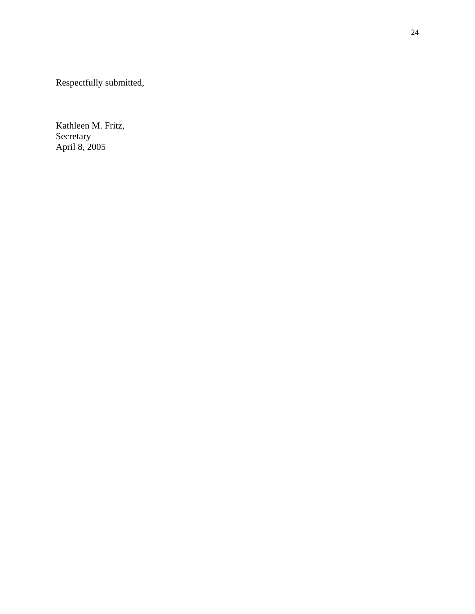Respectfully submitted,

Kathleen M. Fritz, Secretary April 8, 2005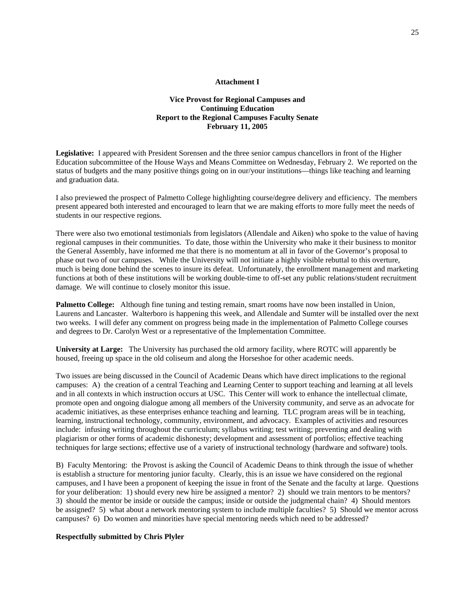#### **Attachment I**

#### **Vice Provost for Regional Campuses and Continuing Education Report to the Regional Campuses Faculty Senate February 11, 2005**

**Legislative:** I appeared with President Sorensen and the three senior campus chancellors in front of the Higher Education subcommittee of the House Ways and Means Committee on Wednesday, February 2. We reported on the status of budgets and the many positive things going on in our/your institutions—things like teaching and learning and graduation data.

I also previewed the prospect of Palmetto College highlighting course/degree delivery and efficiency. The members present appeared both interested and encouraged to learn that we are making efforts to more fully meet the needs of students in our respective regions.

There were also two emotional testimonials from legislators (Allendale and Aiken) who spoke to the value of having regional campuses in their communities. To date, those within the University who make it their business to monitor the General Assembly, have informed me that there is no momentum at all in favor of the Governor's proposal to phase out two of our campuses. While the University will not initiate a highly visible rebuttal to this overture, much is being done behind the scenes to insure its defeat. Unfortunately, the enrollment management and marketing functions at both of these institutions will be working double-time to off-set any public relations/student recruitment damage. We will continue to closely monitor this issue.

**Palmetto College:** Although fine tuning and testing remain, smart rooms have now been installed in Union, Laurens and Lancaster. Walterboro is happening this week, and Allendale and Sumter will be installed over the next two weeks. I will defer any comment on progress being made in the implementation of Palmetto College courses and degrees to Dr. Carolyn West or a representative of the Implementation Committee.

**University at Large:** The University has purchased the old armory facility, where ROTC will apparently be housed, freeing up space in the old coliseum and along the Horseshoe for other academic needs.

Two issues are being discussed in the Council of Academic Deans which have direct implications to the regional campuses: A) the creation of a central Teaching and Learning Center to support teaching and learning at all levels and in all contexts in which instruction occurs at USC. This Center will work to enhance the intellectual climate, promote open and ongoing dialogue among all members of the University community, and serve as an advocate for academic initiatives, as these enterprises enhance teaching and learning. TLC program areas will be in teaching, learning, instructional technology, community, environment, and advocacy. Examples of activities and resources include: infusing writing throughout the curriculum; syllabus writing; test writing; preventing and dealing with plagiarism or other forms of academic dishonesty; development and assessment of portfolios; effective teaching techniques for large sections; effective use of a variety of instructional technology (hardware and software) tools.

B) Faculty Mentoring: the Provost is asking the Council of Academic Deans to think through the issue of whether is establish a structure for mentoring junior faculty. Clearly, this is an issue we have considered on the regional campuses, and I have been a proponent of keeping the issue in front of the Senate and the faculty at large. Questions for your deliberation: 1) should every new hire be assigned a mentor? 2) should we train mentors to be mentors? 3) should the mentor be inside or outside the campus; inside or outside the judgmental chain? 4) Should mentors be assigned? 5) what about a network mentoring system to include multiple faculties? 5) Should we mentor across campuses? 6) Do women and minorities have special mentoring needs which need to be addressed?

#### **Respectfully submitted by Chris Plyler**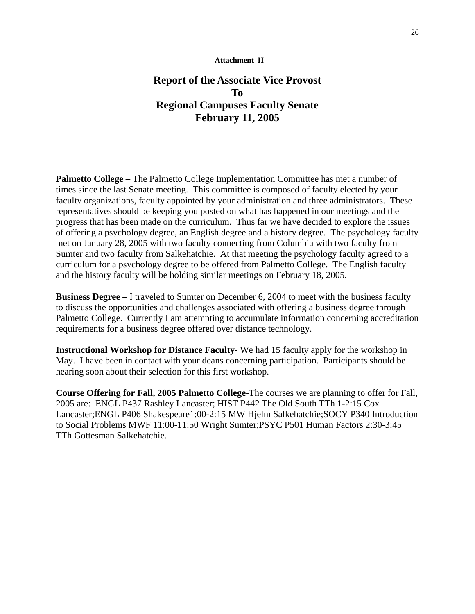# **Report of the Associate Vice Provost To Regional Campuses Faculty Senate February 11, 2005**

**Palmetto College –** The Palmetto College Implementation Committee has met a number of times since the last Senate meeting. This committee is composed of faculty elected by your faculty organizations, faculty appointed by your administration and three administrators. These representatives should be keeping you posted on what has happened in our meetings and the progress that has been made on the curriculum. Thus far we have decided to explore the issues of offering a psychology degree, an English degree and a history degree. The psychology faculty met on January 28, 2005 with two faculty connecting from Columbia with two faculty from Sumter and two faculty from Salkehatchie. At that meeting the psychology faculty agreed to a curriculum for a psychology degree to be offered from Palmetto College. The English faculty and the history faculty will be holding similar meetings on February 18, 2005.

**Business Degree –** I traveled to Sumter on December 6, 2004 to meet with the business faculty to discuss the opportunities and challenges associated with offering a business degree through Palmetto College. Currently I am attempting to accumulate information concerning accreditation requirements for a business degree offered over distance technology.

**Instructional Workshop for Distance Faculty-** We had 15 faculty apply for the workshop in May. I have been in contact with your deans concerning participation. Participants should be hearing soon about their selection for this first workshop.

**Course Offering for Fall, 2005 Palmetto College-**The courses we are planning to offer for Fall, 2005 are: ENGL P437 Rashley Lancaster; HIST P442 The Old South TTh 1-2:15 Cox Lancaster;ENGL P406 Shakespeare1:00-2:15 MW Hjelm Salkehatchie;SOCY P340 Introduction to Social Problems MWF 11:00-11:50 Wright Sumter;PSYC P501 Human Factors 2:30-3:45 TTh Gottesman Salkehatchie.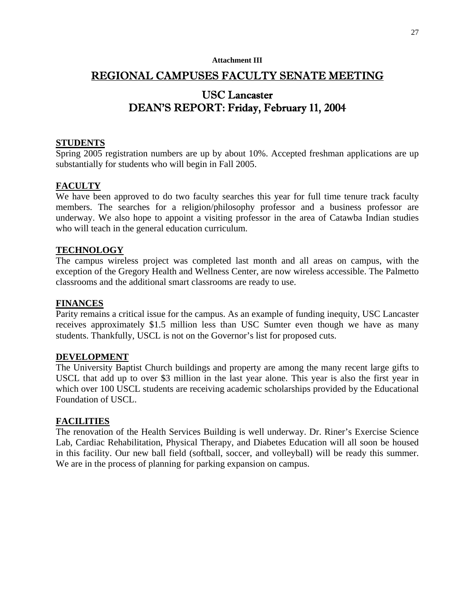#### **Attachment III**

# REGIONAL CAMPUSES FACULTY SENATE MEETING

# USC Lancaster DEAN'S REPORT: Friday, February 11, 2004

### **STUDENTS**

Spring 2005 registration numbers are up by about 10%. Accepted freshman applications are up substantially for students who will begin in Fall 2005.

# **FACULTY**

We have been approved to do two faculty searches this year for full time tenure track faculty members. The searches for a religion/philosophy professor and a business professor are underway. We also hope to appoint a visiting professor in the area of Catawba Indian studies who will teach in the general education curriculum.

#### **TECHNOLOGY**

The campus wireless project was completed last month and all areas on campus, with the exception of the Gregory Health and Wellness Center, are now wireless accessible. The Palmetto classrooms and the additional smart classrooms are ready to use.

# **FINANCES**

Parity remains a critical issue for the campus. As an example of funding inequity, USC Lancaster receives approximately \$1.5 million less than USC Sumter even though we have as many students. Thankfully, USCL is not on the Governor's list for proposed cuts.

#### **DEVELOPMENT**

The University Baptist Church buildings and property are among the many recent large gifts to USCL that add up to over \$3 million in the last year alone. This year is also the first year in which over 100 USCL students are receiving academic scholarships provided by the Educational Foundation of USCL.

### **FACILITIES**

The renovation of the Health Services Building is well underway. Dr. Riner's Exercise Science Lab, Cardiac Rehabilitation, Physical Therapy, and Diabetes Education will all soon be housed in this facility. Our new ball field (softball, soccer, and volleyball) will be ready this summer. We are in the process of planning for parking expansion on campus.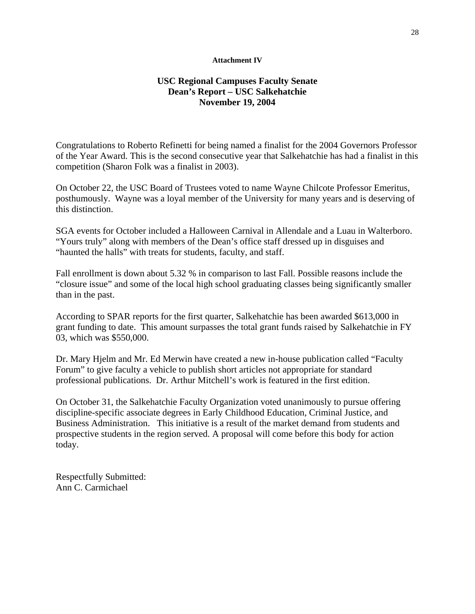#### **Attachment IV**

# **USC Regional Campuses Faculty Senate Dean's Report – USC Salkehatchie November 19, 2004**

Congratulations to Roberto Refinetti for being named a finalist for the 2004 Governors Professor of the Year Award. This is the second consecutive year that Salkehatchie has had a finalist in this competition (Sharon Folk was a finalist in 2003).

On October 22, the USC Board of Trustees voted to name Wayne Chilcote Professor Emeritus, posthumously. Wayne was a loyal member of the University for many years and is deserving of this distinction.

SGA events for October included a Halloween Carnival in Allendale and a Luau in Walterboro. "Yours truly" along with members of the Dean's office staff dressed up in disguises and "haunted the halls" with treats for students, faculty, and staff.

Fall enrollment is down about 5.32 % in comparison to last Fall. Possible reasons include the "closure issue" and some of the local high school graduating classes being significantly smaller than in the past.

According to SPAR reports for the first quarter, Salkehatchie has been awarded \$613,000 in grant funding to date. This amount surpasses the total grant funds raised by Salkehatchie in FY 03, which was \$550,000.

Dr. Mary Hjelm and Mr. Ed Merwin have created a new in-house publication called "Faculty Forum" to give faculty a vehicle to publish short articles not appropriate for standard professional publications. Dr. Arthur Mitchell's work is featured in the first edition.

On October 31, the Salkehatchie Faculty Organization voted unanimously to pursue offering discipline-specific associate degrees in Early Childhood Education, Criminal Justice, and Business Administration. This initiative is a result of the market demand from students and prospective students in the region served. A proposal will come before this body for action today.

Respectfully Submitted: Ann C. Carmichael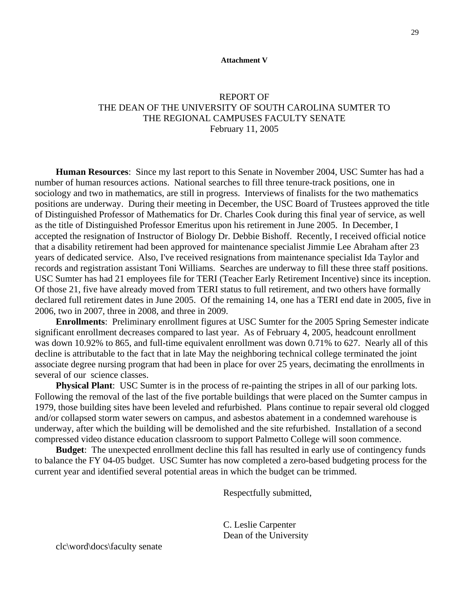#### **Attachment V**

# REPORT OF THE DEAN OF THE UNIVERSITY OF SOUTH CAROLINA SUMTER TO THE REGIONAL CAMPUSES FACULTY SENATE February 11, 2005

**Human Resources**: Since my last report to this Senate in November 2004, USC Sumter has had a number of human resources actions. National searches to fill three tenure-track positions, one in sociology and two in mathematics, are still in progress. Interviews of finalists for the two mathematics positions are underway. During their meeting in December, the USC Board of Trustees approved the title of Distinguished Professor of Mathematics for Dr. Charles Cook during this final year of service, as well as the title of Distinguished Professor Emeritus upon his retirement in June 2005. In December, I accepted the resignation of Instructor of Biology Dr. Debbie Bishoff. Recently, I received official notice that a disability retirement had been approved for maintenance specialist Jimmie Lee Abraham after 23 years of dedicated service. Also, I've received resignations from maintenance specialist Ida Taylor and records and registration assistant Toni Williams. Searches are underway to fill these three staff positions. USC Sumter has had 21 employees file for TERI (Teacher Early Retirement Incentive) since its inception. Of those 21, five have already moved from TERI status to full retirement, and two others have formally declared full retirement dates in June 2005. Of the remaining 14, one has a TERI end date in 2005, five in 2006, two in 2007, three in 2008, and three in 2009.

**Enrollments**: Preliminary enrollment figures at USC Sumter for the 2005 Spring Semester indicate significant enrollment decreases compared to last year. As of February 4, 2005, headcount enrollment was down 10.92% to 865, and full-time equivalent enrollment was down 0.71% to 627. Nearly all of this decline is attributable to the fact that in late May the neighboring technical college terminated the joint associate degree nursing program that had been in place for over 25 years, decimating the enrollments in several of our science classes.

**Physical Plant**: USC Sumter is in the process of re-painting the stripes in all of our parking lots. Following the removal of the last of the five portable buildings that were placed on the Sumter campus in 1979, those building sites have been leveled and refurbished. Plans continue to repair several old clogged and/or collapsed storm water sewers on campus, and asbestos abatement in a condemned warehouse is underway, after which the building will be demolished and the site refurbished. Installation of a second compressed video distance education classroom to support Palmetto College will soon commence.

**Budget**: The unexpected enrollment decline this fall has resulted in early use of contingency funds to balance the FY 04-05 budget. USC Sumter has now completed a zero-based budgeting process for the current year and identified several potential areas in which the budget can be trimmed.

Respectfully submitted,

 C. Leslie Carpenter Dean of the University

clc\word\docs\faculty senate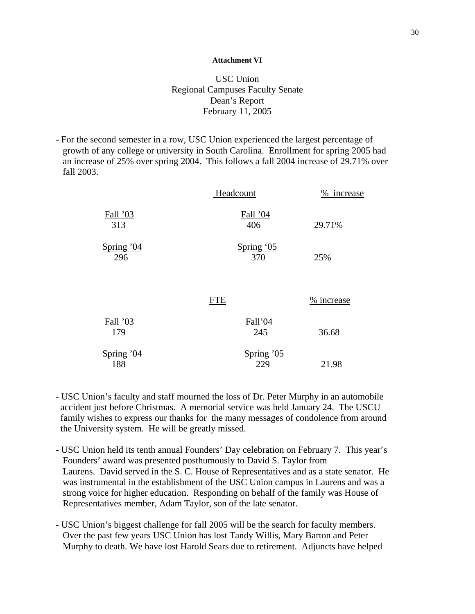#### **Attachment VI**

# USC Union Regional Campuses Faculty Senate Dean's Report February 11, 2005

- For the second semester in a row, USC Union experienced the largest percentage of growth of any college or university in South Carolina. Enrollment for spring 2005 had an increase of 25% over spring 2004. This follows a fall 2004 increase of 29.71% over fall 2003.

|                   | Headcount         | % increase |
|-------------------|-------------------|------------|
| Fall '03<br>313   | Fall '04<br>406   | 29.71%     |
| Spring '04<br>296 | Spring '05<br>370 | 25%        |
|                   | <b>FTE</b>        | % increase |
| Fall '03<br>179   | Fall'04<br>245    | 36.68      |
| Spring '04<br>188 | Spring '05<br>229 | 21.98      |

- USC Union's faculty and staff mourned the loss of Dr. Peter Murphy in an automobile accident just before Christmas. A memorial service was held January 24. The USCU family wishes to express our thanks for the many messages of condolence from around the University system. He will be greatly missed.
- USC Union held its tenth annual Founders' Day celebration on February 7. This year's Founders' award was presented posthumously to David S. Taylor from Laurens. David served in the S. C. House of Representatives and as a state senator. He was instrumental in the establishment of the USC Union campus in Laurens and was a strong voice for higher education. Responding on behalf of the family was House of Representatives member, Adam Taylor, son of the late senator.
- USC Union's biggest challenge for fall 2005 will be the search for faculty members. Over the past few years USC Union has lost Tandy Willis, Mary Barton and Peter Murphy to death. We have lost Harold Sears due to retirement. Adjuncts have helped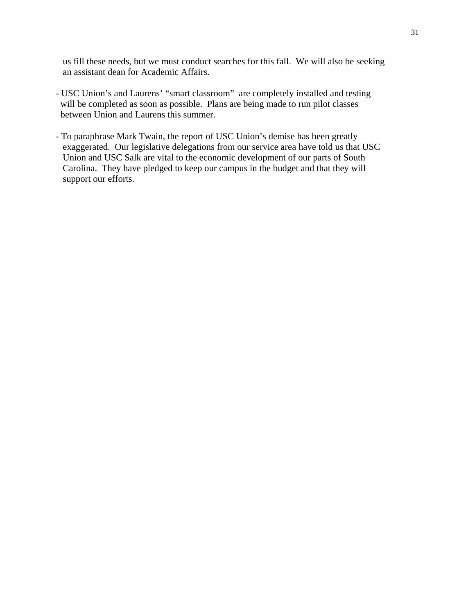us fill these needs, but we must conduct searches for this fall. We will also be seeking an assistant dean for Academic Affairs.

- USC Union's and Laurens' "smart classroom" are completely installed and testing will be completed as soon as possible. Plans are being made to run pilot classes between Union and Laurens this summer.
- To paraphrase Mark Twain, the report of USC Union's demise has been greatly exaggerated. Our legislative delegations from our service area have told us that USC Union and USC Salk are vital to the economic development of our parts of South Carolina. They have pledged to keep our campus in the budget and that they will support our efforts.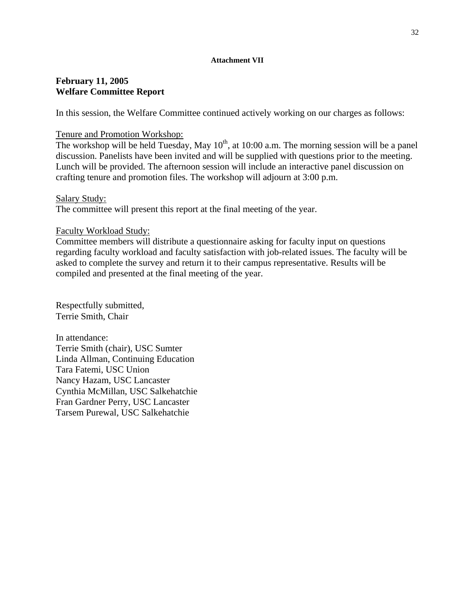#### **Attachment VII**

# **February 11, 2005 Welfare Committee Report**

In this session, the Welfare Committee continued actively working on our charges as follows:

# Tenure and Promotion Workshop:

The workshop will be held Tuesday, May  $10^{th}$ , at 10:00 a.m. The morning session will be a panel discussion. Panelists have been invited and will be supplied with questions prior to the meeting. Lunch will be provided. The afternoon session will include an interactive panel discussion on crafting tenure and promotion files. The workshop will adjourn at 3:00 p.m.

# Salary Study:

The committee will present this report at the final meeting of the year.

# Faculty Workload Study:

Committee members will distribute a questionnaire asking for faculty input on questions regarding faculty workload and faculty satisfaction with job-related issues. The faculty will be asked to complete the survey and return it to their campus representative. Results will be compiled and presented at the final meeting of the year.

Respectfully submitted, Terrie Smith, Chair

In attendance: Terrie Smith (chair), USC Sumter Linda Allman, Continuing Education Tara Fatemi, USC Union Nancy Hazam, USC Lancaster Cynthia McMillan, USC Salkehatchie Fran Gardner Perry, USC Lancaster Tarsem Purewal, USC Salkehatchie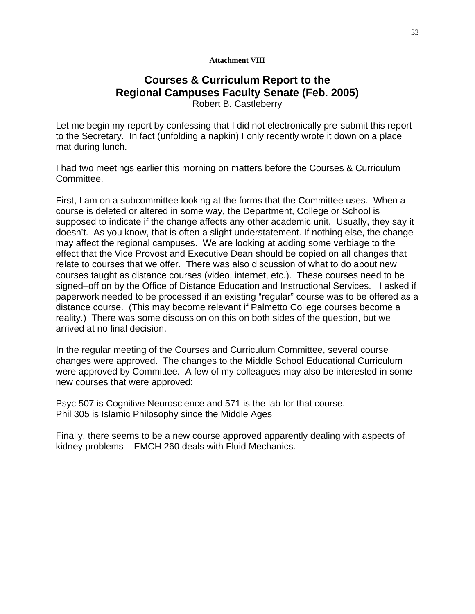#### **Attachment VIII**

# **Courses & Curriculum Report to the Regional Campuses Faculty Senate (Feb. 2005)**  Robert B. Castleberry

Let me begin my report by confessing that I did not electronically pre-submit this report to the Secretary. In fact (unfolding a napkin) I only recently wrote it down on a place mat during lunch.

I had two meetings earlier this morning on matters before the Courses & Curriculum Committee.

First, I am on a subcommittee looking at the forms that the Committee uses. When a course is deleted or altered in some way, the Department, College or School is supposed to indicate if the change affects any other academic unit. Usually, they say it doesn't. As you know, that is often a slight understatement. If nothing else, the change may affect the regional campuses. We are looking at adding some verbiage to the effect that the Vice Provost and Executive Dean should be copied on all changes that relate to courses that we offer. There was also discussion of what to do about new courses taught as distance courses (video, internet, etc.). These courses need to be signed–off on by the Office of Distance Education and Instructional Services. I asked if paperwork needed to be processed if an existing "regular" course was to be offered as a distance course. (This may become relevant if Palmetto College courses become a reality.) There was some discussion on this on both sides of the question, but we arrived at no final decision.

In the regular meeting of the Courses and Curriculum Committee, several course changes were approved. The changes to the Middle School Educational Curriculum were approved by Committee. A few of my colleagues may also be interested in some new courses that were approved:

Psyc 507 is Cognitive Neuroscience and 571 is the lab for that course. Phil 305 is Islamic Philosophy since the Middle Ages

Finally, there seems to be a new course approved apparently dealing with aspects of kidney problems – EMCH 260 deals with Fluid Mechanics.